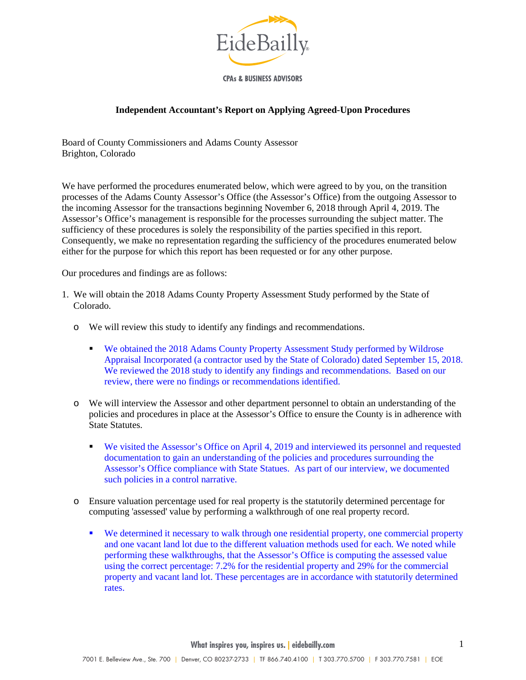

**CPAs & BUSINESS ADVISORS** 

## **Independent Accountant's Report on Applying Agreed-Upon Procedures**

Board of County Commissioners and Adams County Assessor Brighton, Colorado

We have performed the procedures enumerated below, which were agreed to by you, on the transition processes of the Adams County Assessor's Office (the Assessor's Office) from the outgoing Assessor to the incoming Assessor for the transactions beginning November 6, 2018 through April 4, 2019. The Assessor's Office's management is responsible for the processes surrounding the subject matter. The sufficiency of these procedures is solely the responsibility of the parties specified in this report. Consequently, we make no representation regarding the sufficiency of the procedures enumerated below either for the purpose for which this report has been requested or for any other purpose.

Our procedures and findings are as follows:

- 1. We will obtain the 2018 Adams County Property Assessment Study performed by the State of Colorado.
	- o We will review this study to identify any findings and recommendations.
		- We obtained the 2018 Adams County Property Assessment Study performed by Wildrose Appraisal Incorporated (a contractor used by the State of Colorado) dated September 15, 2018. We reviewed the 2018 study to identify any findings and recommendations. Based on our review, there were no findings or recommendations identified.
	- o We will interview the Assessor and other department personnel to obtain an understanding of the policies and procedures in place at the Assessor's Office to ensure the County is in adherence with State Statutes.
		- We visited the Assessor's Office on April 4, 2019 and interviewed its personnel and requested documentation to gain an understanding of the policies and procedures surrounding the Assessor's Office compliance with State Statues. As part of our interview, we documented such policies in a control narrative.
	- o Ensure valuation percentage used for real property is the statutorily determined percentage for computing 'assessed' value by performing a walkthrough of one real property record.
		- We determined it necessary to walk through one residential property, one commercial property and one vacant land lot due to the different valuation methods used for each. We noted while performing these walkthroughs, that the Assessor's Office is computing the assessed value using the correct percentage: 7.2% for the residential property and 29% for the commercial property and vacant land lot. These percentages are in accordance with statutorily determined rates.

**What inspires you, inspires us. | eidebailly.com**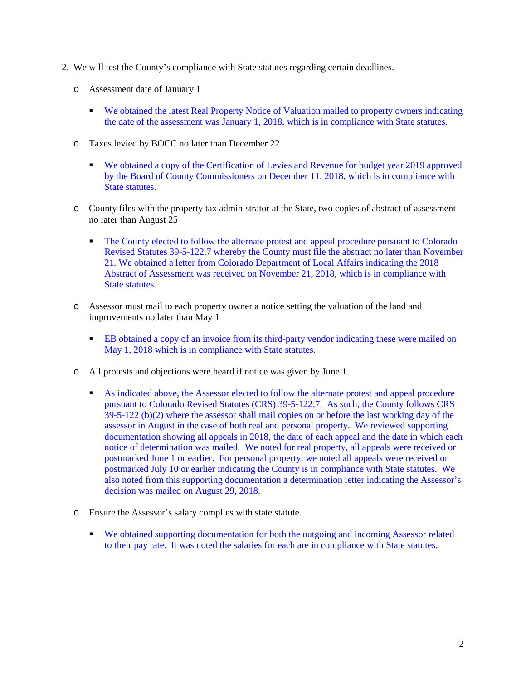- 2. We will test the County's compliance with State statutes regarding certain deadlines.
	- o Assessment date of January 1
		- We obtained the latest Real Property Notice of Valuation mailed to property owners indicating the date of the assessment was January 1, 2018, which is in compliance with State statutes.
	- o Taxes levied by BOCC no later than December 22
		- We obtained a copy of the Certification of Levies and Revenue for budget year 2019 approved by the Board of County Commissioners on December 11, 2018, which is in compliance with State statutes.
	- o County files with the property tax administrator at the State, two copies of abstract of assessment no later than August 25
		- The County elected to follow the alternate protest and appeal procedure pursuant to Colorado Revised Statutes 39-5-122.7 whereby the County must file the abstract no later than November 21. We obtained a letter from Colorado Department of Local Affairs indicating the 2018 Abstract of Assessment was received on November 21, 2018, which is in compliance with State statutes.
	- o Assessor must mail to each property owner a notice setting the valuation of the land and improvements no later than May 1
		- EB obtained a copy of an invoice from its third-party vendor indicating these were mailed on May 1, 2018 which is in compliance with State statutes.
	- o All protests and objections were heard if notice was given by June 1.
		- As indicated above, the Assessor elected to follow the alternate protest and appeal procedure pursuant to Colorado Revised Statutes (CRS) 39-5-122.7. As such, the County follows CRS 39-5-122 (b)(2) where the assessor shall mail copies on or before the last working day of the assessor in August in the case of both real and personal property. We reviewed supporting documentation showing all appeals in 2018, the date of each appeal and the date in which each notice of determination was mailed. We noted for real property, all appeals were received or postmarked June 1 or earlier. For personal property, we noted all appeals were received or postmarked July 10 or earlier indicating the County is in compliance with State statutes. We also noted from this supporting documentation a determination letter indicating the Assessor's decision was mailed on August 29, 2018.
	- o Ensure the Assessor's salary complies with state statute.
		- We obtained supporting documentation for both the outgoing and incoming Assessor related to their pay rate. It was noted the salaries for each are in compliance with State statutes.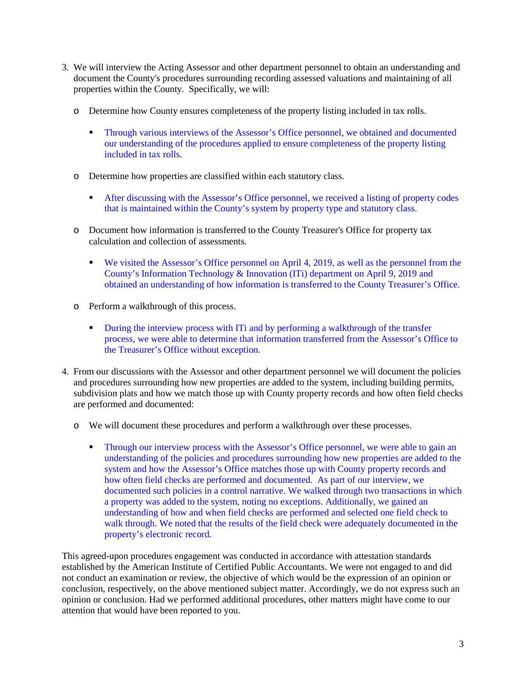- 3. We will interview the Acting Assessor and other department personnel to obtain an understanding and document the County's procedures surrounding recording assessed valuations and maintaining of all properties within the County. Specifically, we will:
	- o Determine how County ensures completeness of the property listing included in tax rolls.
		- Through various interviews of the Assessor's Office personnel, we obtained and documented our understanding of the procedures applied to ensure completeness of the property listing included in tax rolls.
	- o Determine how properties are classified within each statutory class.
		- After discussing with the Assessor's Office personnel, we received a listing of property codes that is maintained within the County's system by property type and statutory class.
	- o Document how information is transferred to the County Treasurer's Office for property tax calculation and collection of assessments.
		- We visited the Assessor's Office personnel on April 4, 2019, as well as the personnel from the County's Information Technology & Innovation (ITi) department on April 9, 2019 and obtained an understanding of how information is transferred to the County Treasurer's Office.
	- o Perform a walkthrough of this process.
		- During the interview process with ITi and by performing a walkthrough of the transfer process, we were able to determine that information transferred from the Assessor's Office to the Treasurer's Office without exception.
- 4. From our discussions with the Assessor and other department personnel we will document the policies and procedures surrounding how new properties are added to the system, including building permits, subdivision plats and how we match those up with County property records and how often field checks are performed and documented:
	- o We will document these procedures and perform a walkthrough over these processes.
		- Through our interview process with the Assessor's Office personnel, we were able to gain an understanding of the policies and procedures surrounding how new properties are added to the system and how the Assessor's Office matches those up with County property records and how often field checks are performed and documented. As part of our interview, we documented such policies in a control narrative. We walked through two transactions in which a property was added to the system, noting no exceptions. Additionally, we gained an understanding of how and when field checks are performed and selected one field check to walk through. We noted that the results of the field check were adequately documented in the property's electronic record.

This agreed-upon procedures engagement was conducted in accordance with attestation standards established by the American Institute of Certified Public Accountants. We were not engaged to and did not conduct an examination or review, the objective of which would be the expression of an opinion or conclusion, respectively, on the above mentioned subject matter. Accordingly, we do not express such an opinion or conclusion. Had we performed additional procedures, other matters might have come to our attention that would have been reported to you.